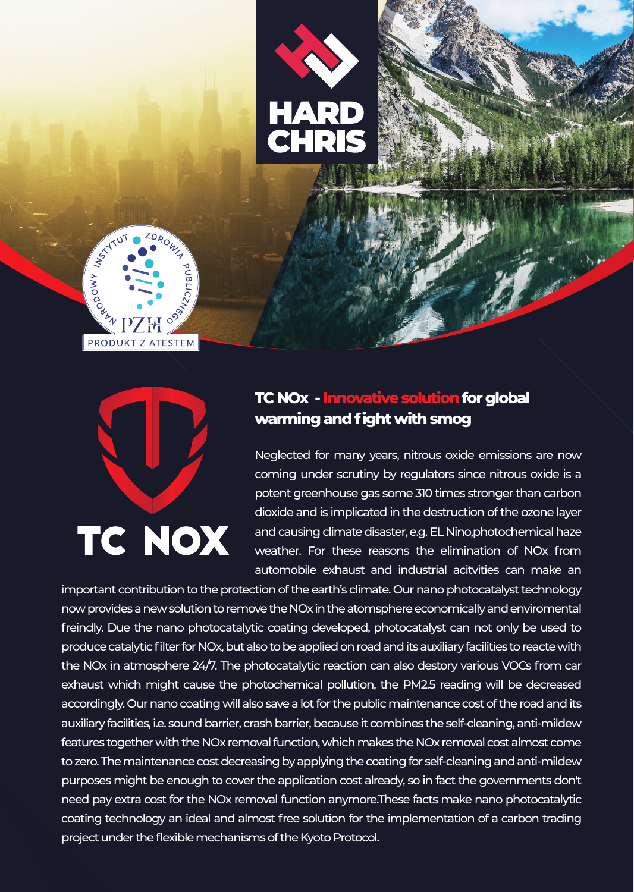



# TC NOX

#### **TC NOx - Innovative solution for global warming and fight with smog**

Neglected for many years, nitrous oxide emissions are now coming under scrutiny by regulators since nitrous oxide is a potent greenhouse gas some 310 times stronger than carbon dioxide and is implicated in the destruction of the ozone layer and causing climate disaster, e.g. EL Nino,photochemical haze weather. For these reasons the elimination of NOx from automobile exhaust and industrial acitvities can make an

important contribution to the protection of the earth's climate. Our nano photocatalyst technology now provides a new solution to remove the NOx in the atomsphere economically and enviromental freindly. Due the nano photocatalytic coating developed, photocatalyst can not only be used to produce catalytic filter for NOx, but also to be applied on road and its auxiliary facilities to reacte with the NOx in atmosphere 24/7. The photocatalytic reaction can also destory various VOCs from car exhaust which might cause the photochemical pollution, the PM2.5 reading will be decreased accordingly. Our nano coating will also save a lot for the public maintenance cost of the road and its auxiliary facilities, i.e. sound barrier, crash barrier, because it combines the self-cleaning, anti-mildew features together with the NOx removal function, which makes the NOx removal cost almost come to zero. The maintenance cost decreasing by applying the coating for self-cleaning and anti-mildew purposes might be enough to cover the application cost already, so in fact the governments don't need pay extra cost for the NOx removal function anymore.These facts make nano photocatalytic coating technology an ideal and almost free solution for the implementation of a carbon trading project under the flexible mechanisms of the Kyoto Protocol.